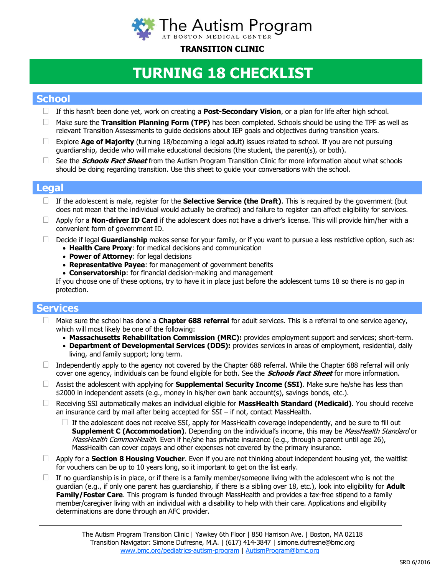

## **TRANSITION CLINIC**

# **TURNING 18 CHECKLIST**

## **School**

- If this hasn't been done yet, work on creating a **Post-Secondary Vision**, or a plan for life after high school.
- Make sure the **Transition Planning Form (TPF)** has been completed. Schools should be using the TPF as well as relevant Transition Assessments to guide decisions about IEP goals and objectives during transition years.
- Explore **Age of Majority** (turning 18/becoming a legal adult) issues related to school. If you are not pursuing guardianship, decide who will make educational decisions (the student, the parent(s), or both).
- See the **Schools Fact Sheet** from the Autism Program Transition Clinic for more information about what schools should be doing regarding transition. Use this sheet to guide your conversations with the school.

### **Legal**

- If the adolescent is male, register for the **Selective Service (the Draft)**. This is required by the government (but does not mean that the individual would actually be drafted) and failure to register can affect eligibility for services.
- $\Box$  Apply for a **Non-driver ID Card** if the adolescent does not have a driver's license. This will provide him/her with a convenient form of government ID.
- Decide if legal **Guardianship** makes sense for your family, or if you want to pursue a less restrictive option, such as:
	- **Health Care Proxy**: for medical decisions and communication
	- **Power of Attorney**: for legal decisions
	- **Representative Payee**: for management of government benefits
	- **Conservatorship**: for financial decision-making and management

If you choose one of these options, try to have it in place just before the adolescent turns 18 so there is no gap in protection.

## **Services**

- Make sure the school has done a **Chapter 688 referral** for adult services. This is a referral to one service agency, which will most likely be one of the following:
	- **Massachusetts Rehabilitation Commission (MRC):** provides employment support and services; short-term.
	- **Department of Developmental Services (DDS):** provides services in areas of employment, residential, daily living, and family support; long term.
- $\Box$  Independently apply to the agency not covered by the Chapter 688 referral. While the Chapter 688 referral will only cover one agency, individuals can be found eligible for both. See the **Schools Fact Sheet** for more information.
- Assist the adolescent with applying for **Supplemental Security Income (SSI)**. Make sure he/she has less than \$2000 in independent assets (e.g., money in his/her own bank account(s), savings bonds, etc.).
- Receiving SSI automatically makes an individual eligible for **MassHealth Standard (Medicaid)**. You should receive an insurance card by mail after being accepted for SSI – if not, contact MassHealth.
	- $\Box$  If the adolescent does not receive SSI, apply for MassHealth coverage independently, and be sure to fill out **Supplement C (Accommodation)**. Depending on the individual's income, this may be *MassHealth Standard* or MassHealth CommonHealth. Even if he/she has private insurance (e.g., through a parent until age 26), MassHealth can cover copays and other expenses not covered by the primary insurance.
- Apply for a **Section 8 Housing Voucher**. Even if you are not thinking about independent housing yet, the waitlist for vouchers can be up to 10 years long, so it important to get on the list early.
- $\Box$  If no guardianship is in place, or if there is a family member/someone living with the adolescent who is not the guardian (e.g., if only one parent has guardianship, if there is a sibling over 18, etc.), look into eligibility for **Adult Family/Foster Care**. This program is funded through MassHealth and provides a tax-free stipend to a family member/caregiver living with an individual with a disability to help with their care. Applications and eligibility determinations are done through an AFC provider.